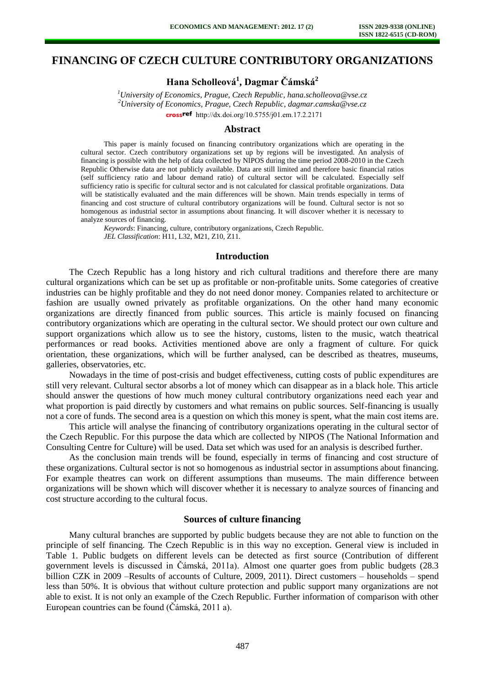# **FINANCING OF CZECH CULTURE CONTRIBUTORY ORGANIZATIONS**

**Hana Scholleová<sup>1</sup> , Dagmar Čámská<sup>2</sup>**

*<sup>1</sup>University of Economics, Prague, Czech Republic, hana.scholleova@vse.cz <sup>2</sup>University of Economics, Prague, Czech Republic, dagmar.camska@vse.cz*  crossref [http://dx.doi.org/10.5755/j01.e](http://dx.doi.org/10.5755/j01.em.17.2.2171)m.17.2.2171

## **Abstract**

This paper is mainly focused on financing contributory organizations which are operating in the cultural sector. Czech contributory organizations set up by regions will be investigated. An analysis of financing is possible with the help of data collected by NIPOS during the time period 2008-2010 in the Czech Republic Otherwise data are not publicly available. Data are still limited and therefore basic financial ratios (self sufficiency ratio and labour demand ratio) of cultural sector will be calculated. Especially self sufficiency ratio is specific for cultural sector and is not calculated for classical profitable organizations. Data will be statistically evaluated and the main differences will be shown. Main trends especially in terms of financing and cost structure of cultural contributory organizations will be found. Cultural sector is not so homogenous as industrial sector in assumptions about financing. It will discover whether it is necessary to analyze sources of financing.

*Keywords*: Financing, culture, contributory organizations, Czech Republic. *JEL Classification*: H11, L32, M21, Z10, Z11.

### **Introduction**

The Czech Republic has a long history and rich cultural traditions and therefore there are many cultural organizations which can be set up as profitable or non-profitable units. Some categories of creative industries can be highly profitable and they do not need donor money. Companies related to architecture or fashion are usually owned privately as profitable organizations. On the other hand many economic organizations are directly financed from public sources. This article is mainly focused on financing contributory organizations which are operating in the cultural sector. We should protect our own culture and support organizations which allow us to see the history, customs, listen to the music, watch theatrical performances or read books. Activities mentioned above are only a fragment of culture. For quick orientation, these organizations, which will be further analysed, can be described as theatres, museums, galleries, observatories, etc.

Nowadays in the time of post-crisis and budget effectiveness, cutting costs of public expenditures are still very relevant. Cultural sector absorbs a lot of money which can disappear as in a black hole. This article should answer the questions of how much money cultural contributory organizations need each year and what proportion is paid directly by customers and what remains on public sources. Self-financing is usually not a core of funds. The second area is a question on which this money is spent, what the main cost items are.

This article will analyse the financing of contributory organizations operating in the cultural sector of the Czech Republic. For this purpose the data which are collected by NIPOS (The National Information and Consulting Centre for Culture) will be used. Data set which was used for an analysis is described further.

As the conclusion main trends will be found, especially in terms of financing and cost structure of these organizations. Cultural sector is not so homogenous as industrial sector in assumptions about financing. For example theatres can work on different assumptions than museums. The main difference between organizations will be shown which will discover whether it is necessary to analyze sources of financing and cost structure according to the cultural focus.

### **Sources of culture financing**

Many cultural branches are supported by public budgets because they are not able to function on the principle of self financing. The Czech Republic is in this way no exception. General view is included in Table 1. Public budgets on different levels can be detected as first source (Contribution of different government levels is discussed in Čámská, 2011a). Almost one quarter goes from public budgets (28.3 billion CZK in 2009 –Results of accounts of Culture, 2009, 2011). Direct customers – households – spend less than 50%. It is obvious that without culture protection and public support many organizations are not able to exist. It is not only an example of the Czech Republic. Further information of comparison with other European countries can be found (Čámská, 2011 a).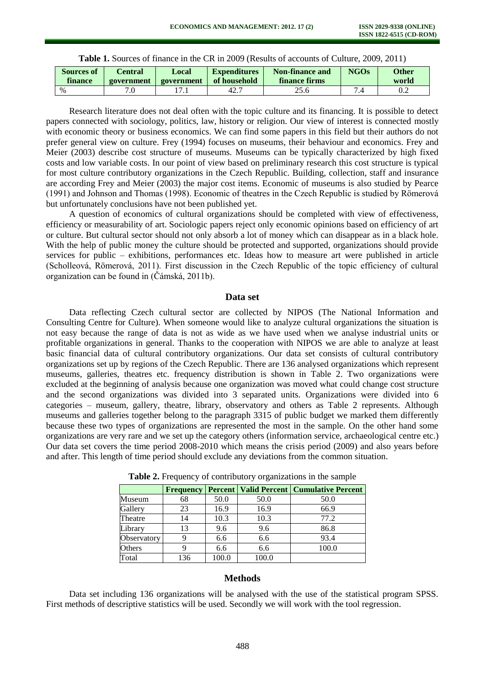| <b>Sources of</b> | Central    | Local      | <b>Expenditures</b> | Non-finance and | <b>NGOs</b> | Other |
|-------------------|------------|------------|---------------------|-----------------|-------------|-------|
| finance           | government | government | of household        | finance firms   |             | world |
| $\%$              |            |            | 42.7                |                 |             | 0.2   |

**Table 1.** Sources of finance in the CR in 2009 (Results of accounts of Culture, 2009, 2011)

Research literature does not deal often with the topic culture and its financing. It is possible to detect papers connected with sociology, politics, law, history or religion. Our view of interest is connected mostly with economic theory or business economics. We can find some papers in this field but their authors do not prefer general view on culture. Frey (1994) focuses on museums, their behaviour and economics. Frey and Meier (2003) describe cost structure of museums. Museums can be typically characterized by high fixed costs and low variable costs. In our point of view based on preliminary research this cost structure is typical for most culture contributory organizations in the Czech Republic. Building, collection, staff and insurance are according Frey and Meier (2003) the major cost items. Economic of museums is also studied by Pearce (1991) and Johnson and Thomas (1998). Economic of theatres in the Czech Republic is studied by Römerová but unfortunately conclusions have not been published yet.

A question of economics of cultural organizations should be completed with view of effectiveness, efficiency or measurability of art. Sociologic papers reject only economic opinions based on efficiency of art or culture. But cultural sector should not only absorb a lot of money which can disappear as in a black hole. With the help of public money the culture should be protected and supported, organizations should provide services for public – exhibitions, performances etc. Ideas how to measure art were published in article (Scholleová, Römerová, 2011). First discussion in the Czech Republic of the topic efficiency of cultural organization can be found in (Čámská, 2011b).

#### **Data set**

Data reflecting Czech cultural sector are collected by NIPOS (The National Information and Consulting Centre for Culture). When someone would like to analyze cultural organizations the situation is not easy because the range of data is not as wide as we have used when we analyse industrial units or profitable organizations in general. Thanks to the cooperation with NIPOS we are able to analyze at least basic financial data of cultural contributory organizations. Our data set consists of cultural contributory organizations set up by regions of the Czech Republic. There are 136 analysed organizations which represent museums, galleries, theatres etc. frequency distribution is shown in Table 2. Two organizations were excluded at the beginning of analysis because one organization was moved what could change cost structure and the second organizations was divided into 3 separated units. Organizations were divided into 6 categories – museum, gallery, theatre, library, observatory and others as Table 2 represents. Although museums and galleries together belong to the paragraph 3315 of public budget we marked them differently because these two types of organizations are represented the most in the sample. On the other hand some organizations are very rare and we set up the category others (information service, archaeological centre etc.) Our data set covers the time period 2008-2010 which means the crisis period (2009) and also years before and after. This length of time period should exclude any deviations from the common situation.

|             | <b>Frequency</b> |       |       | <b>Percent   Valid Percent   Cumulative Percent</b> |
|-------------|------------------|-------|-------|-----------------------------------------------------|
| Museum      | 68               | 50.0  | 50.0  | 50.0                                                |
| Gallery     | 23               | 16.9  | 16.9  | 66.9                                                |
| Theatre     | 14               | 10.3  | 10.3  | 77.2                                                |
| Library     | 13               | 9.6   | 9.6   | 86.8                                                |
| Observatory |                  | 6.6   | 6.6   | 93.4                                                |
| Others      |                  | 6.6   | 6.6   | 100.0                                               |
| Total       | 136              | 100.0 | 100.0 |                                                     |

**Table 2.** Frequency of contributory organizations in the sample

# **Methods**

Data set including 136 organizations will be analysed with the use of the statistical program SPSS. First methods of descriptive statistics will be used. Secondly we will work with the tool regression.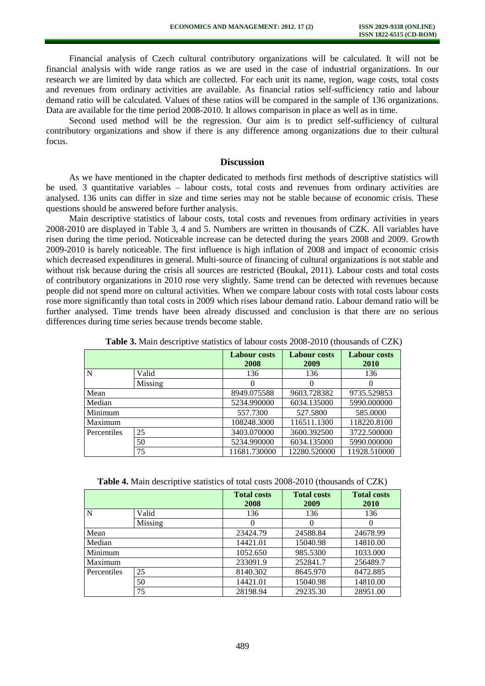Financial analysis of Czech cultural contributory organizations will be calculated. It will not be financial analysis with wide range ratios as we are used in the case of industrial organizations. In our research we are limited by data which are collected. For each unit its name, region, wage costs, total costs and revenues from ordinary activities are available. As financial ratios self-sufficiency ratio and labour demand ratio will be calculated. Values of these ratios will be compared in the sample of 136 organizations. Data are available for the time period 2008-2010. It allows comparison in place as well as in time.

Second used method will be the regression. Our aim is to predict self-sufficiency of cultural contributory organizations and show if there is any difference among organizations due to their cultural focus.

# **Discussion**

As we have mentioned in the chapter dedicated to methods first methods of descriptive statistics will be used. 3 quantitative variables – labour costs, total costs and revenues from ordinary activities are analysed. 136 units can differ in size and time series may not be stable because of economic crisis. These questions should be answered before further analysis.

Main descriptive statistics of labour costs, total costs and revenues from ordinary activities in years 2008-2010 are displayed in Table 3, 4 and 5. Numbers are written in thousands of CZK. All variables have risen during the time period. Noticeable increase can be detected during the years 2008 and 2009. Growth 2009-2010 is barely noticeable. The first influence is high inflation of 2008 and impact of economic crisis which decreased expenditures in general. Multi-source of financing of cultural organizations is not stable and without risk because during the crisis all sources are restricted (Boukal, 2011). Labour costs and total costs of contributory organizations in 2010 rose very slightly. Same trend can be detected with revenues because people did not spend more on cultural activities. When we compare labour costs with total costs labour costs rose more significantly than total costs in 2009 which rises labour demand ratio. Labour demand ratio will be further analysed. Time trends have been already discussed and conclusion is that there are no serious differences during time series because trends become stable.

|             |         | <b>Labour costs</b><br>2008 | <b>Labour costs</b><br>2009 | <b>Labour costs</b><br><b>2010</b> |
|-------------|---------|-----------------------------|-----------------------------|------------------------------------|
| N           | Valid   | 136                         | 136                         | 136                                |
|             | Missing |                             |                             |                                    |
| Mean        |         | 8949.075588                 | 9603.728382                 | 9735.529853                        |
| Median      |         | 5234.990000                 | 6034.135000                 | 5990.000000                        |
| Minimum     |         | 557.7300                    | 527.5800                    | 585.0000                           |
| Maximum     |         | 108248.3000                 | 116511.1300                 | 118220.8100                        |
| Percentiles | 25      | 3403.070000                 | 3600.392500                 | 3722.500000                        |
|             | 50      | 5234.990000                 | 6034.135000                 | 5990.000000                        |
|             | 75      | 11681.730000                | 12280.520000                | 11928.510000                       |

**Table 3.** Main descriptive statistics of labour costs 2008-2010 (thousands of CZK)

**Table 4.** Main descriptive statistics of total costs 2008-2010 (thousands of CZK)

|             |         | <b>Total costs</b><br>2008 | <b>Total costs</b><br>2009 | <b>Total costs</b><br><b>2010</b> |  |
|-------------|---------|----------------------------|----------------------------|-----------------------------------|--|
| N           | Valid   | 136                        | 136                        | 136                               |  |
|             | Missing |                            |                            |                                   |  |
| Mean        |         | 23424.79                   | 24588.84                   | 24678.99                          |  |
| Median      |         | 14421.01                   | 15040.98                   | 14810.00                          |  |
| Minimum     |         | 1052.650                   | 985.5300                   | 1033.000                          |  |
| Maximum     |         | 233091.9                   | 252841.7                   | 256489.7                          |  |
| Percentiles | 25      | 8140.302                   | 8645.970                   | 8472.885                          |  |
|             | 50      | 14421.01                   | 15040.98                   | 14810.00                          |  |
|             | 75      | 28198.94                   | 29235.30                   | 28951.00                          |  |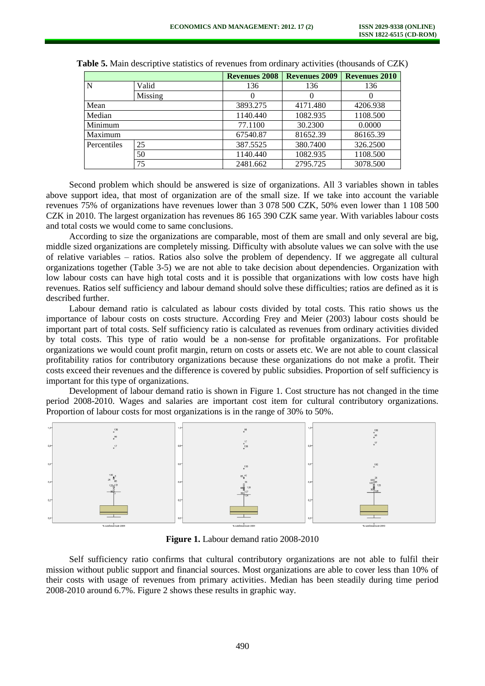|             |         | <b>Revenues 2008</b> | <b>Revenues 2009</b> | <b>Revenues 2010</b> |
|-------------|---------|----------------------|----------------------|----------------------|
| N           | Valid   | 136                  | 136                  | 136                  |
|             | Missing |                      |                      |                      |
| Mean        |         | 3893.275             | 4171.480             | 4206.938             |
| Median      |         | 1140.440             | 1082.935             | 1108.500             |
| Minimum     |         | 77.1100              | 30.2300              | 0.0000               |
| Maximum     |         | 67540.87             | 81652.39             | 86165.39             |
| Percentiles | 25      | 387.5525             | 380.7400             | 326.2500             |
|             | 50      | 1140.440             | 1082.935             | 1108.500             |
|             | 75      | 2481.662             | 2795.725             | 3078.500             |

**Table 5.** Main descriptive statistics of revenues from ordinary activities (thousands of CZK)

Second problem which should be answered is size of organizations. All 3 variables shown in tables above support idea, that most of organization are of the small size. If we take into account the variable revenues 75% of organizations have revenues lower than 3 078 500 CZK, 50% even lower than 1 108 500 CZK in 2010. The largest organization has revenues 86 165 390 CZK same year. With variables labour costs and total costs we would come to same conclusions.

According to size the organizations are comparable, most of them are small and only several are big, middle sized organizations are completely missing. Difficulty with absolute values we can solve with the use of relative variables – ratios. Ratios also solve the problem of dependency. If we aggregate all cultural organizations together (Table 3-5) we are not able to take decision about dependencies. Organization with low labour costs can have high total costs and it is possible that organizations with low costs have high revenues. Ratios self sufficiency and labour demand should solve these difficulties; ratios are defined as it is described further.

Labour demand ratio is calculated as labour costs divided by total costs. This ratio shows us the importance of labour costs on costs structure. According Frey and Meier (2003) labour costs should be important part of total costs. Self sufficiency ratio is calculated as revenues from ordinary activities divided by total costs. This type of ratio would be a non-sense for profitable organizations. For profitable organizations we would count profit margin, return on costs or assets etc. We are not able to count classical profitability ratios for contributory organizations because these organizations do not make a profit. Their costs exceed their revenues and the difference is covered by public subsidies. Proportion of self sufficiency is important for this type of organizations.

Development of labour demand ratio is shown in Figure 1. Cost structure has not changed in the time period 2008-2010. Wages and salaries are important cost item for cultural contributory organizations. Proportion of labour costs for most organizations is in the range of 30% to 50%.



**Figure 1.** Labour demand ratio 2008-2010

Self sufficiency ratio confirms that cultural contributory organizations are not able to fulfil their mission without public support and financial sources. Most organizations are able to cover less than 10% of their costs with usage of revenues from primary activities. Median has been steadily during time period 2008-2010 around 6.7%. Figure 2 shows these results in graphic way.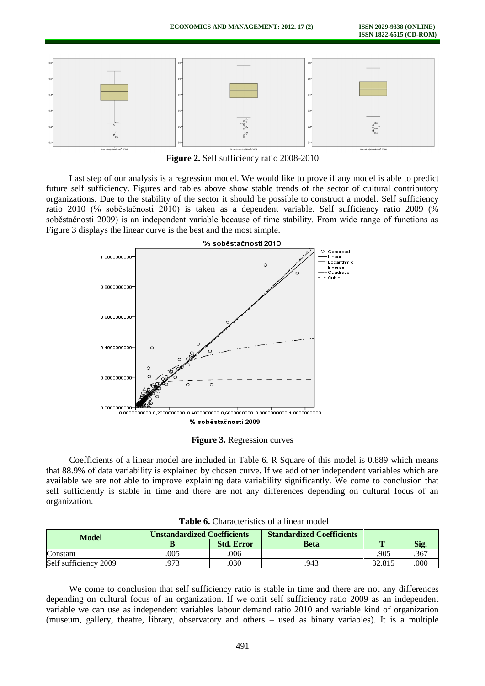

**Figure 2.** Self sufficiency ratio 2008-2010

Last step of our analysis is a regression model. We would like to prove if any model is able to predict future self sufficiency. Figures and tables above show stable trends of the sector of cultural contributory organizations. Due to the stability of the sector it should be possible to construct a model. Self sufficiency ratio 2010 (% soběstačnosti 2010) is taken as a dependent variable. Self sufficiency ratio 2009 (% soběstačnosti 2009) is an independent variable because of time stability. From wide range of functions as Figure 3 displays the linear curve is the best and the most simple.



**Figure 3.** Regression curves

Coefficients of a linear model are included in Table 6. R Square of this model is 0.889 which means that 88.9% of data variability is explained by chosen curve. If we add other independent variables which are available we are not able to improve explaining data variability significantly. We come to conclusion that self sufficiently is stable in time and there are not any differences depending on cultural focus of an organization.

| <b>Model</b>          | <b>Unstandardized Coefficients</b> |                   | <b>Standardized Coefficients</b> |        |      |
|-----------------------|------------------------------------|-------------------|----------------------------------|--------|------|
|                       |                                    | <b>Std. Error</b> | Beta                             | m      | 512. |
| Constant              | 005                                | .006              |                                  | 905    | .367 |
| Self sufficiency 2009 | 973                                | .030              | .943                             | 32.815 | .000 |

**Table 6.** Characteristics of a linear model

We come to conclusion that self sufficiency ratio is stable in time and there are not any differences depending on cultural focus of an organization. If we omit self sufficiency ratio 2009 as an independent variable we can use as independent variables labour demand ratio 2010 and variable kind of organization (museum, gallery, theatre, library, observatory and others – used as binary variables). It is a multiple